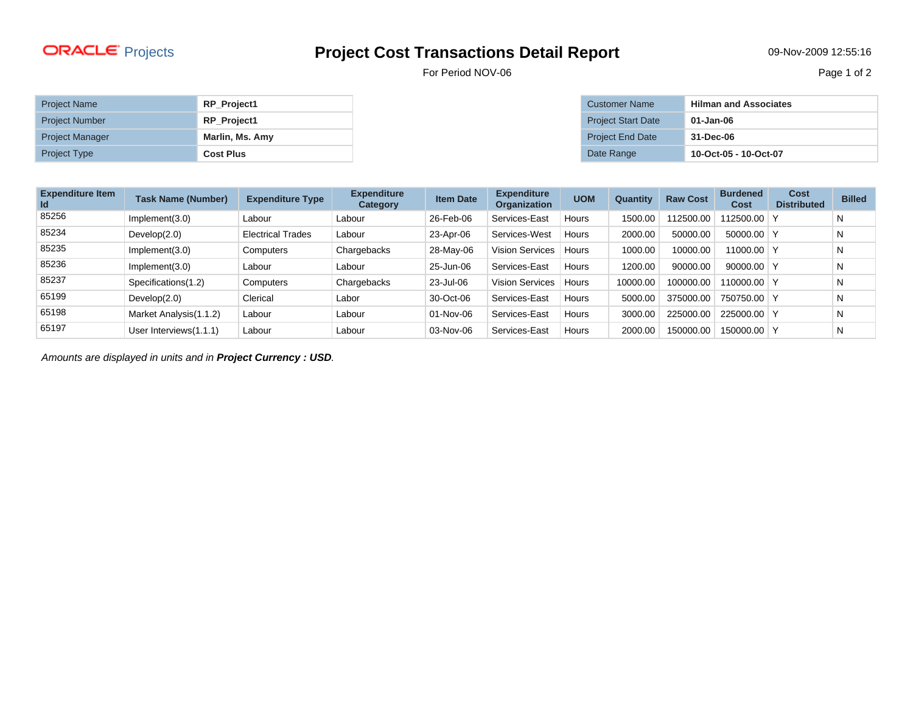## **ORACLE** Projects **Project Cost Transactions Detail Report** 09-Nov-2009 12:55:16

For Period NOV-06 Page 1 of 2

| <b>Project Name</b>    | RP_Project1        |
|------------------------|--------------------|
| <b>Project Number</b>  | <b>RP</b> Project1 |
| <b>Project Manager</b> | Marlin, Ms. Amy    |
| <b>Project Type</b>    | <b>Cost Plus</b>   |

| Customer Name      | <b>Hilman and Associates</b> |
|--------------------|------------------------------|
| Project Start Date | 01-Jan-06                    |
| Project End Date   | 31-Dec-06                    |
| Date Range         | 10-Oct-05 - 10-Oct-07        |

| <b>Expenditure Item</b><br>ld. | <b>Task Name (Number)</b> | <b>Expenditure Type</b>  | <b>Expenditure</b><br>Category | <b>Item Date</b> | <b>Expenditure</b><br>Organization | <b>UOM</b> | Quantity | <b>Raw Cost</b> | <b>Burdened</b><br>Cost | Cost<br><b>Distributed</b> | <b>Billed</b> |
|--------------------------------|---------------------------|--------------------------|--------------------------------|------------------|------------------------------------|------------|----------|-----------------|-------------------------|----------------------------|---------------|
| 85256                          | Implement(3.0)            | Labour                   | Labour                         | 26-Feb-06        | Services-East                      | Hours      | 1500.00  | 12500.00        | 112500.00 Y             |                            | N             |
| 85234                          | Develop (2.0)             | <b>Electrical Trades</b> | Labour                         | 23-Apr-06        | Services-West                      | Hours      | 2000.00  | 50000.00        | 50000.00 Y              |                            | N             |
| 85235                          | Implement(3.0)            | Computers                | Chargebacks                    | 28-May-06        | <b>Vision Services</b>             | Hours      | 1000.00  | 10000.00        | 1000.00 Y               |                            | N             |
| 85236                          | Implement(3.0)            | Labour                   | Labour                         | 25-Jun-06        | Services-East                      | Hours      | 1200.00  | 90000.00        | 90000.00 Y              |                            | N             |
| 85237                          | Specifications (1.2)      | Computers                | Chargebacks                    | 23-Jul-06        | <b>Vision Services</b>             | Hours      | 10000.00 | 100000.00       | 110000.00 Y             |                            | N             |
| 65199                          | Develop(2.0)              | Clerical                 | Labor                          | 30-Oct-06        | Services-East                      | Hours      | 5000.00  | 375000.00       | 750750.00 Y             |                            | N             |
| 65198                          | Market Analysis (1.1.2)   | Labour                   | Labour                         | 01-Nov-06        | Services-East                      | Hours      | 3000.00  | 225000.00       | 225000.00 Y             |                            | N             |
| 65197                          | User Interviews(1.1.1)    | Labour                   | Labour                         | 03-Nov-06        | Services-East                      | Hours      | 2000.00  | 150000.00       | 150000.00 Y             |                            | N             |

Amounts are displayed in units and in **Project Currency : USD**.